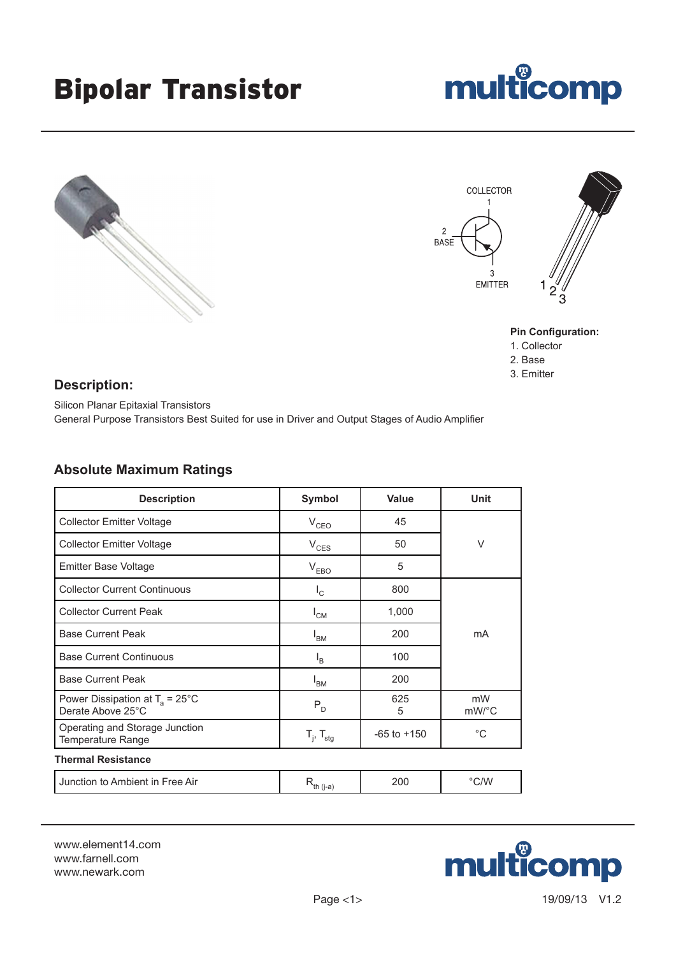## Bipolar Transistor







#### **Pin Configuration:**

- 1. Collector
- 2. Base
- 3. Emitter

#### **Description:**

Silicon Planar Epitaxial Transistors General Purpose Transistors Best Suited for use in Driver and Output Stages of Audio Amplifier

### **Absolute Maximum Ratings**

| <b>Description</b>                                             | <b>Symbol</b>            | <b>Value</b>    | Unit                        |  |
|----------------------------------------------------------------|--------------------------|-----------------|-----------------------------|--|
| <b>Collector Emitter Voltage</b>                               | $V_{CEO}$                | 45              | V                           |  |
| <b>Collector Emitter Voltage</b>                               | $V_{CES}$                | 50              |                             |  |
| <b>Emitter Base Voltage</b>                                    | $V_{EBO}$                | 5               |                             |  |
| <b>Collector Current Continuous</b>                            | $I_{\rm C}$              | 800             |                             |  |
| <b>Collector Current Peak</b>                                  | $I_{CM}$                 | 1,000           |                             |  |
| <b>Base Current Peak</b>                                       | $I_{BM}$                 | 200             | mA                          |  |
| <b>Base Current Continuous</b>                                 | $I_{\rm B}$              | 100             |                             |  |
| <b>Base Current Peak</b>                                       | $I_{BM}$                 | 200             |                             |  |
| Power Dissipation at $T_a = 25^{\circ}$ C<br>Derate Above 25°C | $P_D$                    | 625<br>5        | mW<br>$mW$ <sup>o</sup> $C$ |  |
| Operating and Storage Junction<br>Temperature Range            | $T_i$ , $T_{\text{stg}}$ | $-65$ to $+150$ | $^{\circ}C$                 |  |
| <b>Thermal Resistance</b>                                      |                          |                 |                             |  |
| Junction to Ambient in Free Air                                | $R_{th (i-a)}$           | 200             | °C/W                        |  |

www.element14.com www.farnell.com www.newark.com

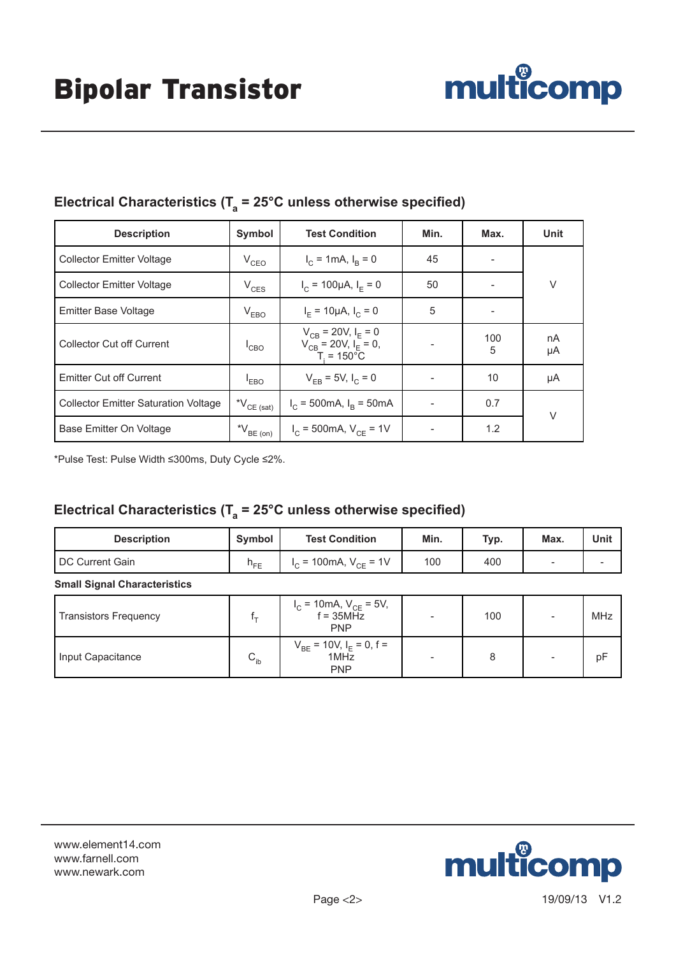

| <b>Description</b>                          | Symbol                                              | <b>Test Condition</b>                                                          | Min. | Max.     | Unit     |  |
|---------------------------------------------|-----------------------------------------------------|--------------------------------------------------------------------------------|------|----------|----------|--|
| <b>Collector Emitter Voltage</b>            | $V_{CEO}$                                           | $I_C = 1 \text{mA}, I_R = 0$                                                   | 45   |          |          |  |
| <b>Collector Emitter Voltage</b>            | $V_{CES}$                                           | $I_c = 100 \mu A$ , $I_E = 0$                                                  | 50   |          | V        |  |
| <b>Emitter Base Voltage</b>                 | $V_{EBO}$                                           | $I_{F} = 10 \mu A, I_{C} = 0$                                                  | 5    |          |          |  |
| <b>Collector Cut off Current</b>            | $^{\mathsf{I}}$ CBO                                 | $V_{CB}$ = 20V, $I_E$ = 0<br>$V_{CB} = 20 V, I_E = 0,$<br>$T_i = 150^{\circ}C$ |      | 100<br>5 | nA<br>μA |  |
| <b>Emitter Cut off Current</b>              | <sup>I</sup> EBO                                    | $V_{FB} = 5V, I_C = 0$                                                         |      | 10       | μA       |  |
| <b>Collector Emitter Saturation Voltage</b> | $^{\star}\mathsf{V}_{\mathsf{CE}}$ (sat)            | $I_C$ = 500mA, $I_B$ = 50mA                                                    |      | 0.7      | $\vee$   |  |
| Base Emitter On Voltage                     | $^{\star}\mathsf{V}_{\mathsf{BE} \; \mathsf{(on)}}$ | $I_C$ = 500mA, $V_{CE}$ = 1V                                                   |      | 1.2      |          |  |

## Electrical Characteristics (T<sub>a</sub> = 25°C unless otherwise specified)

\*Pulse Test: Pulse Width ≤300ms, Duty Cycle ≤2%.

## Electrical Characteristics (T<sub>a</sub> = 25°C unless otherwise specified)

| <b>Description</b>                  | Symbol   | <b>Test Condition</b>        | Min. | Typ. | Max.                     | Unit |
|-------------------------------------|----------|------------------------------|------|------|--------------------------|------|
| I DC Current Gain                   | $h_{FF}$ | $I_C$ = 100mA, $V_{CE}$ = 1V | 100  | 400  | $\overline{\phantom{a}}$ |      |
| <b>Small Signal Characteristics</b> |          |                              |      |      |                          |      |

| <b>Transistors Frequency</b> |          | $I_C = 10 \text{mA}, V_{CE} = 5V,$<br>$f = 35 \text{MHz}$<br><b>PNP</b> | 100 | MHz |
|------------------------------|----------|-------------------------------------------------------------------------|-----|-----|
| Input Capacitance            | $C_{ib}$ | $V_{BE}$ = 10V, $I_E$ = 0, f = 1MHz<br><b>PNP</b>                       |     | рF  |